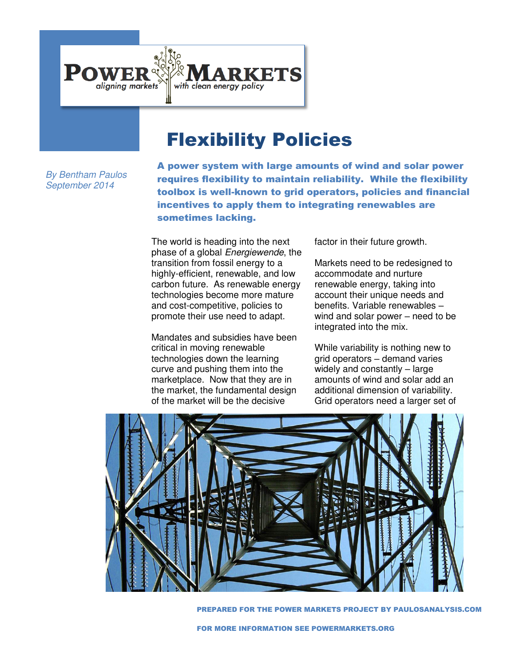

# Flexibility Policies

*By Bentham Paulos September 2014* 

A power system with large amounts of wind and solar power requires flexibility to maintain reliability. While the flexibility toolbox is well-known to grid operators, policies and financial incentives to apply them to integrating renewables are sometimes lacking.

The world is heading into the next phase of a global *Energiewende*, the transition from fossil energy to a highly-efficient, renewable, and low carbon future. As renewable energy technologies become more mature and cost-competitive, policies to promote their use need to adapt.

Mandates and subsidies have been critical in moving renewable technologies down the learning curve and pushing them into the marketplace. Now that they are in the market, the fundamental design of the market will be the decisive

factor in their future growth.

Markets need to be redesigned to accommodate and nurture renewable energy, taking into account their unique needs and benefits. Variable renewables – wind and solar power – need to be integrated into the mix.

While variability is nothing new to grid operators – demand varies widely and constantly – large amounts of wind and solar add an additional dimension of variability. Grid operators need a larger set of



PREPARED FOR THE POWER MARKETS PROJECT BY PAULOSANALYSIS.COM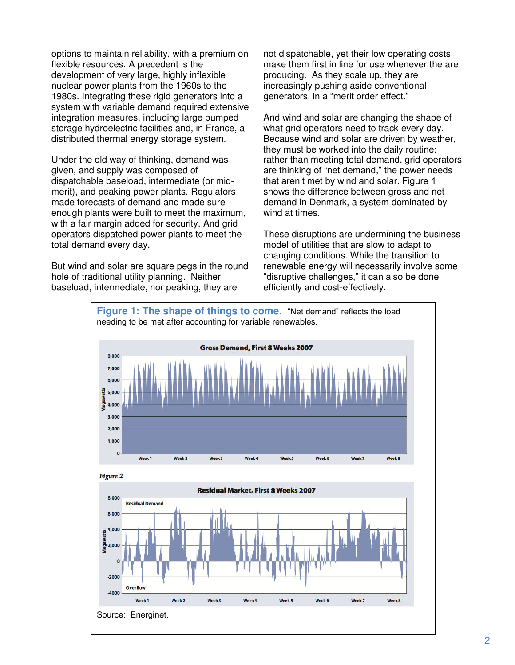options to maintain reliability, with a premium on flexible resources. A precedent is the development of very large, highly inflexible nuclear power plants from the 1960s to the 1980s. Integrating these rigid generators into a system with variable demand required extensive integration measures, including large pumped storage hydroelectric facilities and, in France, a distributed thermal energy storage system.

Under the old way of thinking, demand was given, and supply was composed of dispatchable baseload, intermediate (or midmerit), and peaking power plants. Regulators made forecasts of demand and made sure enough plants were built to meet the maximum, with a fair margin added for security. And grid operators dispatched power plants to meet the total demand every day.

But wind and solar are square pegs in the round hole of traditional utility planning. Neither baseload, intermediate, nor peaking, they are

not dispatchable, yet their low operating costs make them first in line for use whenever the are producing. As they scale up, they are increasingly pushing aside conventional generators, in a "merit order effect."

And wind and solar are changing the shape of what grid operators need to track every day. Because wind and solar are driven by weather, they must be worked into the daily routine: rather than meeting total demand, grid operators are thinking of "net demand," the power needs that aren't met by wind and solar. Figure 1 shows the difference between gross and net demand in Denmark, a system dominated by wind at times.

These disruptions are undermining the business model of utilities that are slow to adapt to changing conditions. While the transition to renewable energy will necessarily involve some "disruptive challenges," it can also be done efficiently and cost-effectively.

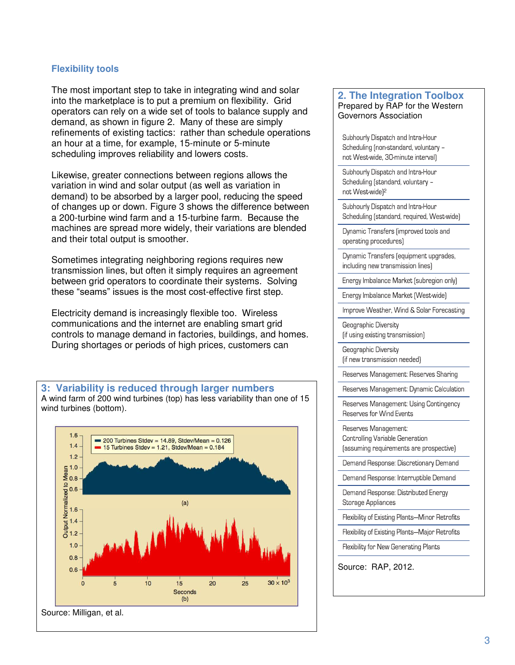### **Flexibility tools**

The most important step to take in integrating wind and solar into the marketplace is to put a premium on flexibility. Grid operators can rely on a wide set of tools to balance supply and demand, as shown in figure 2. Many of these are simply refinements of existing tactics: rather than schedule operations an hour at a time, for example, 15-minute or 5-minute scheduling improves reliability and lowers costs.

Likewise, greater connections between regions allows the variation in wind and solar output (as well as variation in demand) to be absorbed by a larger pool, reducing the speed of changes up or down. Figure 3 shows the difference between a 200-turbine wind farm and a 15-turbine farm. Because the machines are spread more widely, their variations are blended and their total output is smoother.

Sometimes integrating neighboring regions requires new transmission lines, but often it simply requires an agreement between grid operators to coordinate their systems. Solving these "seams" issues is the most cost-effective first step.

Electricity demand is increasingly flexible too. Wireless communications and the internet are enabling smart grid controls to manage demand in factories, buildings, and homes. During shortages or periods of high prices, customers can

**3: Variability is reduced through larger numbers**  A wind farm of 200 wind turbines (top) has less variability than one of 15 wind turbines (bottom).



#### **2. The Integration Toolbox**  Prepared by RAP for the Western Governors Association

Subhourly Dispatch and Intra-Hour Scheduling (non-standard, voluntary not West-wide, 30-minute interval)

Subhourly Dispatch and Intra-Hour Scheduling (standard, voluntary not West-wide)<sup>2</sup>

Subhourly Dispatch and Intra-Hour Scheduling (standard, required, West-wide)

Dynamic Transfers (improved tools and operating procedures)

Dynamic Transfers (equipment upgrades, including new transmission lines)

Energy Imbalance Market (subregion only)

Energy Imbalance Market [West-wide]

Improve Weather, Wind & Solar Forecasting

Geographic Diversity (if using existing transmission)

Geographic Diversity (if new transmission needed)

Reserves Management: Reserves Sharing

Reserves Management: Dynamic Calculation

Reserves Management: Using Contingency Reserves for Wind Events

Reserves Management: Controlling Variable Generation [assuming requirements are prospective]

Demand Response: Discretionary Demand

Demand Response: Interruptible Demand

Demand Response: Distributed Energy Storage Appliances

Flexibility of Existing Plants-Minor Retrofits

Flexibility of Existing Plants-Major Retrofits

Flexibility for New Generating Plants

Source: RAP, 2012.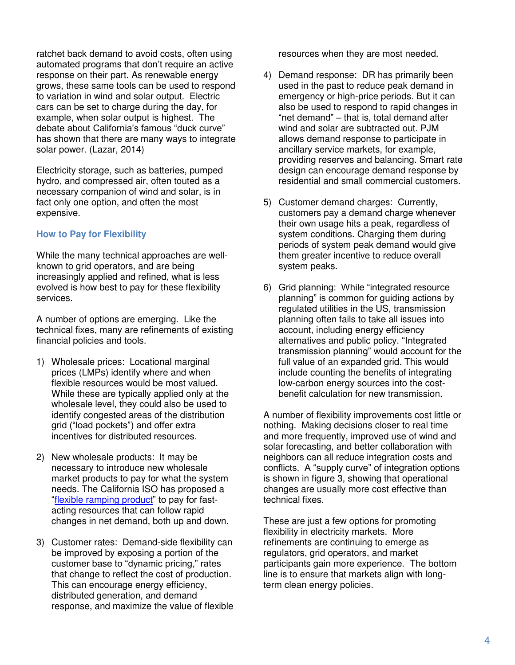ratchet back demand to avoid costs, often using automated programs that don't require an active response on their part. As renewable energy grows, these same tools can be used to respond to variation in wind and solar output. Electric cars can be set to charge during the day, for example, when solar output is highest. The debate about California's famous "duck curve" has shown that there are many ways to integrate solar power. (Lazar, 2014)

Electricity storage, such as batteries, pumped hydro, and compressed air, often touted as a necessary companion of wind and solar, is in fact only one option, and often the most expensive.

## **How to Pay for Flexibility**

While the many technical approaches are wellknown to grid operators, and are being increasingly applied and refined, what is less evolved is how best to pay for these flexibility services.

A number of options are emerging. Like the technical fixes, many are refinements of existing financial policies and tools.

- 1) Wholesale prices: Locational marginal prices (LMPs) identify where and when flexible resources would be most valued. While these are typically applied only at the wholesale level, they could also be used to identify congested areas of the distribution grid ("load pockets") and offer extra incentives for distributed resources.
- 2) New wholesale products: It may be necessary to introduce new wholesale market products to pay for what the system needs. The California ISO has proposed a "[flexible ramping product](http://www.caiso.com/informed/pages/stakeholderprocesses/flexiblerampingproduct.aspx)" to pay for fastacting resources that can follow rapid changes in net demand, both up and down.
- 3) Customer rates: Demand-side flexibility can be improved by exposing a portion of the customer base to "dynamic pricing," rates that change to reflect the cost of production. This can encourage energy efficiency, distributed generation, and demand response, and maximize the value of flexible

resources when they are most needed.

- 4) Demand response: DR has primarily been used in the past to reduce peak demand in emergency or high-price periods. But it can also be used to respond to rapid changes in "net demand" – that is, total demand after wind and solar are subtracted out. PJM allows demand response to participate in ancillary service markets, for example, providing reserves and balancing. Smart rate design can encourage demand response by residential and small commercial customers.
- 5) Customer demand charges: Currently, customers pay a demand charge whenever their own usage hits a peak, regardless of system conditions. Charging them during periods of system peak demand would give them greater incentive to reduce overall system peaks.
- 6) Grid planning: While "integrated resource planning" is common for guiding actions by regulated utilities in the US, transmission planning often fails to take all issues into account, including energy efficiency alternatives and public policy. "Integrated transmission planning" would account for the full value of an expanded grid. This would include counting the benefits of integrating low-carbon energy sources into the costbenefit calculation for new transmission.

A number of flexibility improvements cost little or nothing. Making decisions closer to real time and more frequently, improved use of wind and solar forecasting, and better collaboration with neighbors can all reduce integration costs and conflicts. A "supply curve" of integration options is shown in figure 3, showing that operational changes are usually more cost effective than technical fixes.

These are just a few options for promoting flexibility in electricity markets. More refinements are continuing to emerge as regulators, grid operators, and market participants gain more experience. The bottom line is to ensure that markets align with longterm clean energy policies.